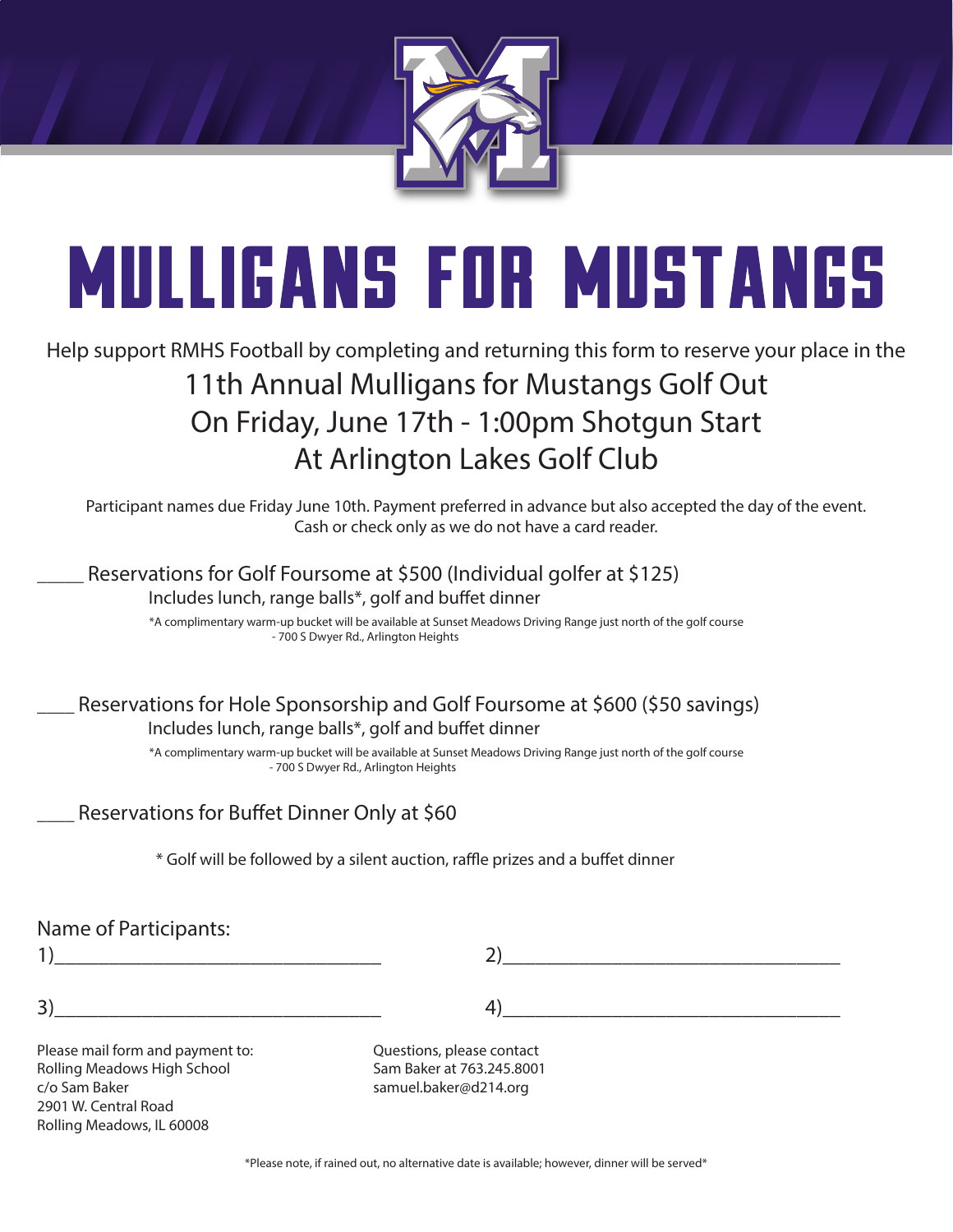

# **MULLIGANS FOR MUSTANGS**

# Help support RMHS Football by completing and returning this form to reserve your place in the 11th Annual Mulligans for Mustangs Golf Out On Friday, June 17th - 1:00pm Shotgun Start At Arlington Lakes Golf Club

Participant names due Friday June 10th. Payment preferred in advance but also accepted the day of the event. Cash or check only as we do not have a card reader.

## Reservations for Golf Foursome at \$500 (Individual golfer at \$125) Includes lunch, range balls\*, golf and buffet dinner

 \*A complimentary warm-up bucket will be available at Sunset Meadows Driving Range just north of the golf course - 700 S Dwyer Rd., Arlington Heights

# Reservations for Hole Sponsorship and Golf Foursome at \$600 (\$50 savings) Includes lunch, range balls\*, golf and buffet dinner

 \*A complimentary warm-up bucket will be available at Sunset Meadows Driving Range just north of the golf course - 700 S Dwyer Rd., Arlington Heights

# Reservations for Buffet Dinner Only at \$60

\* Golf will be followed by a silent auction, raffle prizes and a buffet dinner

## Name of Participants:

| 4                                |                           |  |
|----------------------------------|---------------------------|--|
| 3)                               |                           |  |
| Please mail form and payment to: | Questions, please contact |  |
| Rolling Meadows High School      | Sam Baker at 763.245.8001 |  |
| c/o Sam Baker                    | samuel.baker@d214.org     |  |
| 2901 W. Central Road             |                           |  |
| Rolling Meadows, IL 60008        |                           |  |